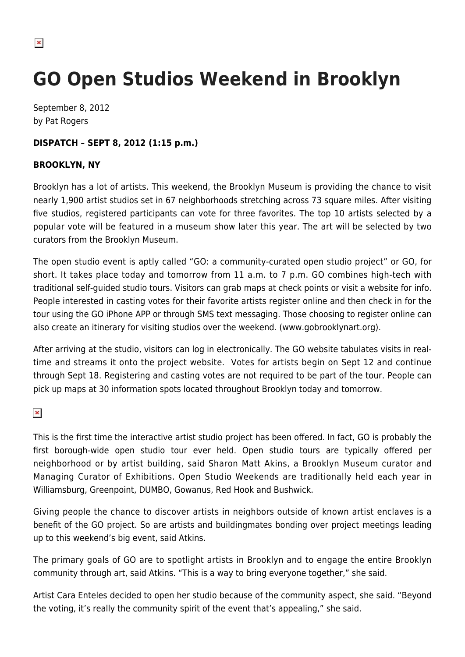## **GO Open Studios Weekend in Brooklyn**

September 8, 2012 by Pat Rogers

## **DISPATCH – SEPT 8, 2012 (1:15 p.m.)**

## **BROOKLYN, NY**

Brooklyn has a lot of artists. This weekend, the Brooklyn Museum is providing the chance to visit nearly 1,900 artist studios set in 67 neighborhoods stretching across 73 square miles. After visiting five studios, registered participants can vote for three favorites. The top 10 artists selected by a popular vote will be featured in a museum show later this year. The art will be selected by two curators from the Brooklyn Museum.

The open studio event is aptly called "GO: a community-curated open studio project" or GO, for short. It takes place today and tomorrow from 11 a.m. to 7 p.m. GO combines high-tech with traditional self-guided studio tours. Visitors can grab maps at check points or visit a website for info. People interested in casting votes for their favorite artists register online and then check in for the tour using the GO iPhone APP or through SMS text messaging. Those choosing to register online can also create an itinerary for visiting studios over the weekend. (www.gobrooklynart.org).

After arriving at the studio, visitors can log in electronically. The GO website tabulates visits in realtime and streams it onto the project website. Votes for artists begin on Sept 12 and continue through Sept 18. Registering and casting votes are not required to be part of the tour. People can pick up maps at 30 information spots located throughout Brooklyn today and tomorrow.

 $\pmb{\times}$ 

This is the first time the interactive artist studio project has been offered. In fact, GO is probably the first borough-wide open studio tour ever held. Open studio tours are typically offered per neighborhood or by artist building, said Sharon Matt Akins, a Brooklyn Museum curator and Managing Curator of Exhibitions. Open Studio Weekends are traditionally held each year in Williamsburg, Greenpoint, DUMBO, Gowanus, Red Hook and Bushwick.

Giving people the chance to discover artists in neighbors outside of known artist enclaves is a benefit of the GO project. So are artists and buildingmates bonding over project meetings leading up to this weekend's big event, said Atkins.

The primary goals of GO are to spotlight artists in Brooklyn and to engage the entire Brooklyn community through art, said Atkins. "This is a way to bring everyone together," she said.

Artist Cara Enteles decided to open her studio because of the community aspect, she said. "Beyond the voting, it's really the community spirit of the event that's appealing," she said.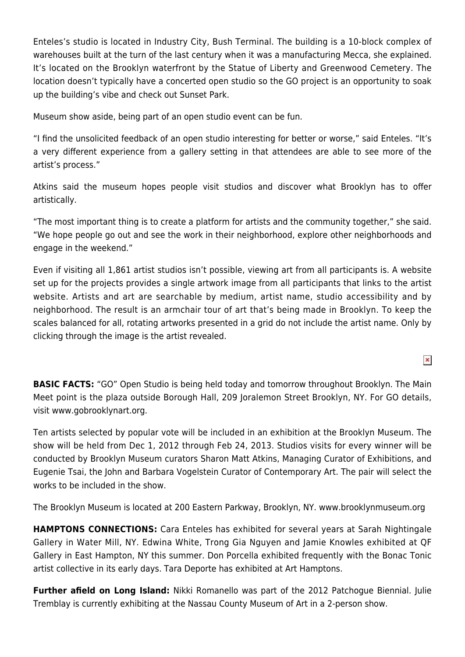Enteles's studio is located in Industry City, Bush Terminal. The building is a 10-block complex of warehouses built at the turn of the last century when it was a manufacturing Mecca, she explained. It's located on the Brooklyn waterfront by the Statue of Liberty and Greenwood Cemetery. The location doesn't typically have a concerted open studio so the GO project is an opportunity to soak up the building's vibe and check out Sunset Park.

Museum show aside, being part of an open studio event can be fun.

"I find the unsolicited feedback of an open studio interesting for better or worse," said Enteles. "It's a very different experience from a gallery setting in that attendees are able to see more of the artist's process."

Atkins said the museum hopes people visit studios and discover what Brooklyn has to offer artistically.

"The most important thing is to create a platform for artists and the community together," she said. "We hope people go out and see the work in their neighborhood, explore other neighborhoods and engage in the weekend."

Even if visiting all 1,861 artist studios isn't possible, viewing art from all participants is. A website set up for the projects provides a single artwork image from all participants that links to the artist website. Artists and art are searchable by medium, artist name, studio accessibility and by neighborhood. The result is an armchair tour of art that's being made in Brooklyn. To keep the scales balanced for all, rotating artworks presented in a grid do not include the artist name. Only by clicking through the image is the artist revealed.

**BASIC FACTS:** "GO" Open Studio is being held today and tomorrow throughout Brooklyn. The Main Meet point is the plaza outside Borough Hall, 209 Joralemon Street Brooklyn, NY. For GO details, visit www.gobrooklynart.org.

Ten artists selected by popular vote will be included in an exhibition at the Brooklyn Museum. The show will be held from Dec 1, 2012 through Feb 24, 2013. Studios visits for every winner will be conducted by Brooklyn Museum curators Sharon Matt Atkins, Managing Curator of Exhibitions, and Eugenie Tsai, the John and Barbara Vogelstein Curator of Contemporary Art. The pair will select the works to be included in the show.

The Brooklyn Museum is located at 200 Eastern Parkway, Brooklyn, NY. www.brooklynmuseum.org

**HAMPTONS CONNECTIONS:** Cara Enteles has exhibited for several years at Sarah Nightingale Gallery in Water Mill, NY. Edwina White, Trong Gia Nguyen and Jamie Knowles exhibited at QF Gallery in East Hampton, NY this summer. Don Porcella exhibited frequently with the Bonac Tonic artist collective in its early days. Tara Deporte has exhibited at Art Hamptons.

**Further afield on Long Island:** Nikki Romanello was part of the 2012 Patchogue Biennial. Julie Tremblay is currently exhibiting at the Nassau County Museum of Art in a 2-person show.

 $\pmb{\times}$